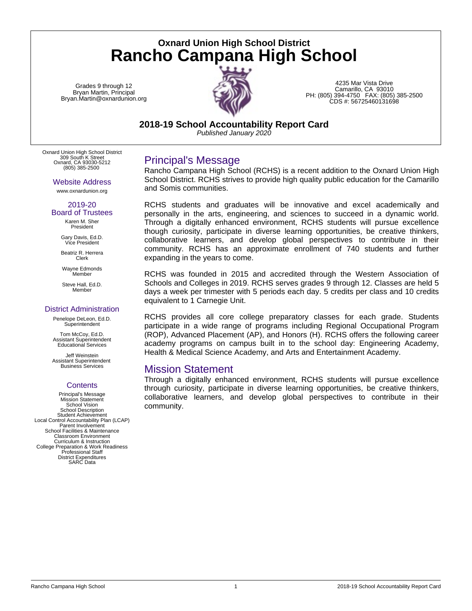**Oxnard Union High School District Rancho Campana High School**

Grades 9 through 12 Bryan Martin, Principal Bryan.Martin@oxnardunion.org



4235 Mar Vista Drive Camarillo, CA 93010 PH: (805) 394-4750 FAX: (805) 385-2500 CDS #: 56725460131698

**2018-19 School Accountability Report Card**

*Published January 2020*

Oxnard Union High School District 309 South K Street Oxnard, CA 93030-5212 (805) 385-2500

### Website Address

www.oxnardunion.org

#### 2019-20 Board of Trustees

Karen M. Sher President

Gary Davis, Ed.D. Vice President

Beatriz R. Herrera Clerk

Wayne Edmonds Member

Steve Hall, Ed.D. Member

### District Administration

Penelope DeLeon, Ed.D. **Superintendent** 

Tom McCoy, Ed.D. Assistant Superintendent Educational Services

Jeff Weinstein Assistant Superintendent Business Services

### **Contents**

Principal's Message Mission Statement School Vision School Description Student Achievement Local Control Accountability Plan (LCAP) Parent Involvement School Facilities & Maintenance Classroom Environment Curriculum & Instruction College Preparation & Work Readiness Professional Staff District Expenditures SARC Data

## Principal's Message

Rancho Campana High School (RCHS) is a recent addition to the Oxnard Union High School District. RCHS strives to provide high quality public education for the Camarillo and Somis communities.

RCHS students and graduates will be innovative and excel academically and personally in the arts, engineering, and sciences to succeed in a dynamic world. Through a digitally enhanced environment, RCHS students will pursue excellence though curiosity, participate in diverse learning opportunities, be creative thinkers, collaborative learners, and develop global perspectives to contribute in their community. RCHS has an approximate enrollment of 740 students and further expanding in the years to come.

RCHS was founded in 2015 and accredited through the Western Association of Schools and Colleges in 2019. RCHS serves grades 9 through 12. Classes are held 5 days a week per trimester with 5 periods each day. 5 credits per class and 10 credits equivalent to 1 Carnegie Unit.

RCHS provides all core college preparatory classes for each grade. Students participate in a wide range of programs including Regional Occupational Program (ROP), Advanced Placement (AP), and Honors (H). RCHS offers the following career academy programs on campus built in to the school day: Engineering Academy, Health & Medical Science Academy, and Arts and Entertainment Academy.

### Mission Statement

Through a digitally enhanced environment, RCHS students will pursue excellence through curiosity, participate in diverse learning opportunities, be creative thinkers, collaborative learners, and develop global perspectives to contribute in their community.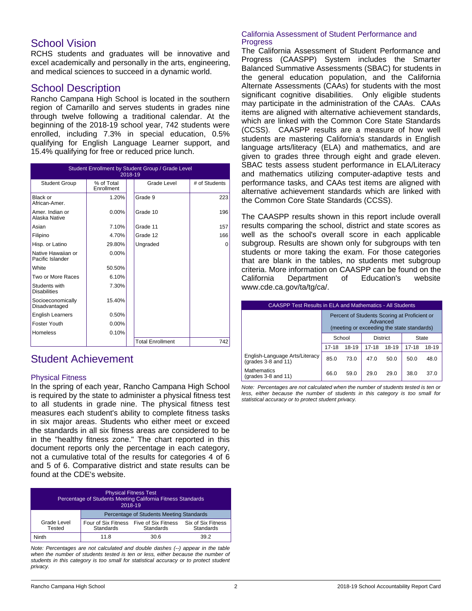## School Vision

RCHS students and graduates will be innovative and excel academically and personally in the arts, engineering, and medical sciences to succeed in a dynamic world.

### School Description

Rancho Campana High School is located in the southern region of Camarillo and serves students in grades nine through twelve following a traditional calendar. At the beginning of the 2018-19 school year, 742 students were enrolled, including 7.3% in special education, 0.5% qualifying for English Language Learner support, and 15.4% qualifying for free or reduced price lunch.

| Student Enrollment by Student Group / Grade Level<br>2018-19 |                          |  |                         |               |  |
|--------------------------------------------------------------|--------------------------|--|-------------------------|---------------|--|
| <b>Student Group</b>                                         | % of Total<br>Enrollment |  | Grade Level             | # of Students |  |
| Black or<br>African-Amer.                                    | 1.20%                    |  | Grade 9                 | 223           |  |
| Amer, Indian or<br>Alaska Native                             | $0.00\%$                 |  | Grade 10                | 196           |  |
| Asian                                                        | 7.10%                    |  | Grade 11                | 157           |  |
| Filipino                                                     | 4.70%                    |  | Grade 12                | 166           |  |
| Hisp. or Latino                                              | 29.80%                   |  | Ungraded                | $\Omega$      |  |
| Native Hawaiian or<br>Pacific Islander                       | $0.00\%$                 |  |                         |               |  |
| White                                                        | 50.50%                   |  |                         |               |  |
| Two or More Races                                            | 6.10%                    |  |                         |               |  |
| Students with<br><b>Disabilities</b>                         | 7.30%                    |  |                         |               |  |
| Socioeconomically<br>Disadvantaged                           | 15.40%                   |  |                         |               |  |
| <b>English Learners</b>                                      | 0.50%                    |  |                         |               |  |
| Foster Youth                                                 | 0.00%                    |  |                         |               |  |
| Homeless                                                     | 0.10%                    |  |                         |               |  |
|                                                              |                          |  | <b>Total Enrollment</b> | 742           |  |

## Student Achievement

### Physical Fitness

In the spring of each year, Rancho Campana High School is required by the state to administer a physical fitness test to all students in grade nine. The physical fitness test measures each student's ability to complete fitness tasks in six major areas. Students who either meet or exceed the standards in all six fitness areas are considered to be in the "healthy fitness zone." The chart reported in this document reports only the percentage in each category, not a cumulative total of the results for categories 4 of 6 and 5 of 6. Comparative district and state results can be found at the CDE's website.

| <b>Physical Fitness Test</b><br>Percentage of Students Meeting California Fitness Standards<br>2018-19 |                                                             |           |                                 |  |
|--------------------------------------------------------------------------------------------------------|-------------------------------------------------------------|-----------|---------------------------------|--|
|                                                                                                        | Percentage of Students Meeting Standards                    |           |                                 |  |
| Grade Level<br>Tested                                                                                  | Four of Six Fitness Five of Six Fitness<br><b>Standards</b> | Standards | Six of Six Fitness<br>Standards |  |
| Ninth                                                                                                  | 11.8                                                        | 30.6      | 39.2                            |  |

*Note: Percentages are not calculated and double dashes (--) appear in the table when the number of students tested is ten or less, either because the number of students in this category is too small for statistical accuracy or to protect student privacy.*

### California Assessment of Student Performance and Progress

The California Assessment of Student Performance and Progress (CAASPP) System includes the Smarter Balanced Summative Assessments (SBAC) for students in the general education population, and the California Alternate Assessments (CAAs) for students with the most significant cognitive disabilities. Only eligible students may participate in the administration of the CAAs. CAAs items are aligned with alternative achievement standards, which are linked with the Common Core State Standards (CCSS). CAASPP results are a measure of how well students are mastering California's standards in English language arts/literacy (ELA) and mathematics, and are given to grades three through eight and grade eleven. SBAC tests assess student performance in ELA/Literacy and mathematics utilizing computer-adaptive tests and performance tasks, and CAAs test items are aligned with alternative achievement standards which are linked with the Common Core State Standards (CCSS).

The CAASPP results shown in this report include overall results comparing the school, district and state scores as well as the school's overall score in each applicable subgroup. Results are shown only for subgroups with ten students or more taking the exam. For those categories that are blank in the tables, no students met subgroup criteria. More information on CAASPP can be found on the California Department of Education's website California Department of Education's website www.cde.ca.gov/ta/tg/ca/.

| <b>CAASPP Test Results in ELA and Mathematics - All Students</b> |                                                                                                        |       |                 |       |           |       |  |
|------------------------------------------------------------------|--------------------------------------------------------------------------------------------------------|-------|-----------------|-------|-----------|-------|--|
|                                                                  | Percent of Students Scoring at Proficient or<br>Advanced<br>(meeting or exceeding the state standards) |       |                 |       |           |       |  |
|                                                                  | School                                                                                                 |       | <b>District</b> |       | State     |       |  |
|                                                                  | $17 - 18$                                                                                              | 18-19 | $17 - 18$       | 18-19 | $17 - 18$ | 18-19 |  |
| English-Language Arts/Literacy<br>(grades 3-8 and 11)            | 85.0                                                                                                   | 73.0  | 47.0            | 50.0  | 50.0      | 48.0  |  |
| <b>Mathematics</b><br>(grades 3-8 and 11)                        | 66.0                                                                                                   | 59.0  | 29.0            | 29.0  | 38.0      | 37.0  |  |

*Note: Percentages are not calculated when the number of students tested is ten or less, either because the number of students in this category is too small for statistical accuracy or to protect student privacy.*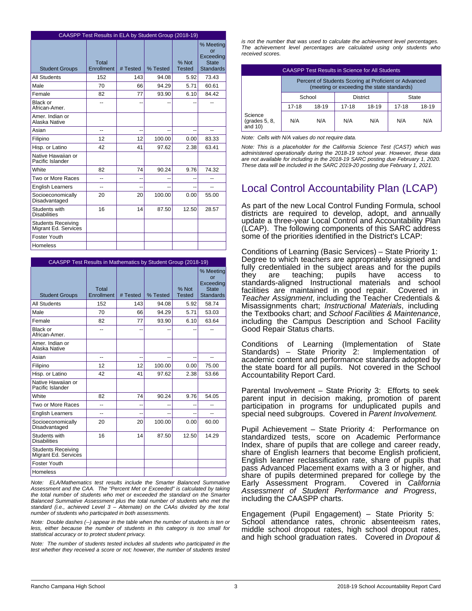| CAASPP Test Results in ELA by Student Group (2018-19) |                     |          |          |                        |                                                                  |  |  |  |
|-------------------------------------------------------|---------------------|----------|----------|------------------------|------------------------------------------------------------------|--|--|--|
| <b>Student Groups</b>                                 | Total<br>Enrollment | # Tested | % Tested | % Not<br><b>Tested</b> | % Meeting<br>or<br>Exceeding<br><b>State</b><br><b>Standards</b> |  |  |  |
| <b>All Students</b>                                   | 152                 | 143      | 94.08    | 5.92                   | 73.43                                                            |  |  |  |
| Male                                                  | 70                  | 66       | 94.29    | 5.71                   | 60.61                                                            |  |  |  |
| Female                                                | 82                  | 77       | 93.90    | 6.10                   | 84.42                                                            |  |  |  |
| <b>Black or</b><br>African-Amer.                      | --                  | --       |          | --                     |                                                                  |  |  |  |
| Amer. Indian or<br>Alaska Native                      |                     |          |          |                        |                                                                  |  |  |  |
| Asian                                                 | --                  | --       |          | --                     | --                                                               |  |  |  |
| Filipino                                              | 12                  | 12       | 100.00   | 0.00                   | 83.33                                                            |  |  |  |
| Hisp. or Latino                                       | 42                  | 41       | 97.62    | 2.38                   | 63.41                                                            |  |  |  |
| Native Hawaiian or<br>Pacific Islander                |                     |          |          |                        |                                                                  |  |  |  |
| White                                                 | 82                  | 74       | 90.24    | 9.76                   | 74.32                                                            |  |  |  |
| Two or More Races                                     | --                  | --       | --       | --                     | --                                                               |  |  |  |
| <b>English Learners</b>                               | $\overline{a}$      | --       |          | --                     | --                                                               |  |  |  |
| Socioeconomically<br>Disadvantaged                    | 20                  | 20       | 100.00   | 0.00                   | 55.00                                                            |  |  |  |
| Students with<br><b>Disabilities</b>                  | 16                  | 14       | 87.50    | 12.50                  | 28.57                                                            |  |  |  |
| <b>Students Receiving</b><br>Migrant Ed. Services     |                     |          |          |                        |                                                                  |  |  |  |
| Foster Youth                                          |                     |          |          |                        |                                                                  |  |  |  |
| Homeless                                              |                     |          |          |                        |                                                                  |  |  |  |

|                                                   | CAASPP Test Results in Mathematics by Student Group (2018-19) |          |          |                        |                                                                  |  |  |  |
|---------------------------------------------------|---------------------------------------------------------------|----------|----------|------------------------|------------------------------------------------------------------|--|--|--|
| <b>Student Groups</b>                             | Total<br>Enrollment                                           | # Tested | % Tested | % Not<br><b>Tested</b> | % Meeting<br>or<br>Exceeding<br><b>State</b><br><b>Standards</b> |  |  |  |
| All Students                                      | 152                                                           | 143      | 94.08    | 5.92                   | 58.74                                                            |  |  |  |
| Male                                              | 70                                                            | 66       | 94.29    | 5.71                   | 53.03                                                            |  |  |  |
| Female                                            | 82                                                            | 77       | 93.90    | 6.10                   | 63.64                                                            |  |  |  |
| Black or<br>African-Amer.                         | --                                                            | --       |          |                        |                                                                  |  |  |  |
| Amer, Indian or<br>Alaska Native                  |                                                               |          |          |                        |                                                                  |  |  |  |
| Asian                                             | --                                                            | --       |          | --                     | --                                                               |  |  |  |
| Filipino                                          | 12                                                            | 12       | 100.00   | 0.00                   | 75.00                                                            |  |  |  |
| Hisp. or Latino                                   | 42                                                            | 41       | 97.62    | 2.38                   | 53.66                                                            |  |  |  |
| Native Hawaiian or<br>Pacific Islander            |                                                               |          |          |                        |                                                                  |  |  |  |
| White                                             | 82                                                            | 74       | 90.24    | 9.76                   | 54.05                                                            |  |  |  |
| Two or More Races                                 | --                                                            | --       |          |                        |                                                                  |  |  |  |
| <b>English Learners</b>                           | $\overline{a}$                                                | --       | ۵.       | --                     | $-$                                                              |  |  |  |
| Socioeconomically<br>Disadvantaged                | 20                                                            | 20       | 100.00   | 0.00                   | 60.00                                                            |  |  |  |
| Students with<br><b>Disabilities</b>              | 16                                                            | 14       | 87.50    | 12.50                  | 14.29                                                            |  |  |  |
| <b>Students Receiving</b><br>Migrant Ed. Services |                                                               |          |          |                        |                                                                  |  |  |  |
| Foster Youth                                      |                                                               |          |          |                        |                                                                  |  |  |  |
| Homeless                                          |                                                               |          |          |                        |                                                                  |  |  |  |

*Note: ELA/Mathematics test results include the Smarter Balanced Summative Assessment and the CAA. The "Percent Met or Exceeded" is calculated by taking the total number of students who met or exceeded the standard on the Smarter Balanced Summative Assessment plus the total number of students who met the standard (i.e., achieved Level 3 – Alternate) on the CAAs divided by the total number of students who participated in both assessments.*

*Note: Double dashes (--) appear in the table when the number of students is ten or less, either because the number of students in this category is too small for statistical accuracy or to protect student privacy.*

*Note: The number of students tested includes all students who participated in the test whether they received a score or not; however, the number of students tested* *is not the number that was used to calculate the achievement level percentages. The achievement level percentages are calculated using only students who received scores.*

|                                           | CAASPP Test Results in Science for All Students                                                     |       |                |     |       |       |
|-------------------------------------------|-----------------------------------------------------------------------------------------------------|-------|----------------|-----|-------|-------|
|                                           | Percent of Students Scoring at Proficient or Advanced<br>(meeting or exceeding the state standards) |       |                |     |       |       |
|                                           | School<br><b>District</b>                                                                           |       | State          |     |       |       |
|                                           | $17-18$                                                                                             | 18-19 | 18-19<br>17-18 |     | 17-18 | 18-19 |
| Science<br>(grades $5, 8$ ,<br>and $10$ ) | N/A                                                                                                 | N/A   | N/A            | N/A | N/A   | N/A   |

*Note: Cells with N/A values do not require data.*

*Note: This is a placeholder for the California Science Test (CAST) which was administered operationally during the 2018-19 school year. However, these data are not available for including in the 2018-19 SARC posting due February 1, 2020. These data will be included in the SARC 2019-20 posting due February 1, 2021.*

# Local Control Accountability Plan (LCAP)

As part of the new Local Control Funding Formula, school districts are required to develop, adopt, and annually update a three-year Local Control and Accountability Plan (LCAP). The following components of this SARC address some of the priorities identified in the District's LCAP:

Conditions of Learning (Basic Services) – State Priority 1: Degree to which teachers are appropriately assigned and fully credentialed in the subject areas and for the pupils<br>they are teaching; pupils have access to they are teaching; pupils have access to standards-aligned Instructional materials and school facilities are maintained in good repair. Covered in *Teacher Assignment*, including the Teacher Credentials & Misassignments chart; *Instructional Materials*, including the Textbooks chart; and *School Facilities & Maintenance*, including the Campus Description and School Facility Good Repair Status charts.

Conditions of Learning (Implementation of State Standards) – State Priority  $2$ : academic content and performance standards adopted by the state board for all pupils. Not covered in the School Accountability Report Card.

Parental Involvement – State Priority 3: Efforts to seek parent input in decision making, promotion of parent participation in programs for unduplicated pupils and special need subgroups. Covered in *Parent Involvement.*

Pupil Achievement – State Priority 4: Performance on standardized tests, score on Academic Performance Index, share of pupils that are college and career ready, share of English learners that become English proficient, English learner reclassification rate, share of pupils that pass Advanced Placement exams with a 3 or higher, and share of pupils determined prepared for college by the Early Assessment Program. Covered in California Early Assessment Program. *Assessment of Student Performance and Progress*, including the CAASPP charts.

Engagement (Pupil Engagement) – State Priority 5: School attendance rates, chronic absenteeism rates, middle school dropout rates, high school dropout rates, and high school graduation rates. Covered in *Dropout &*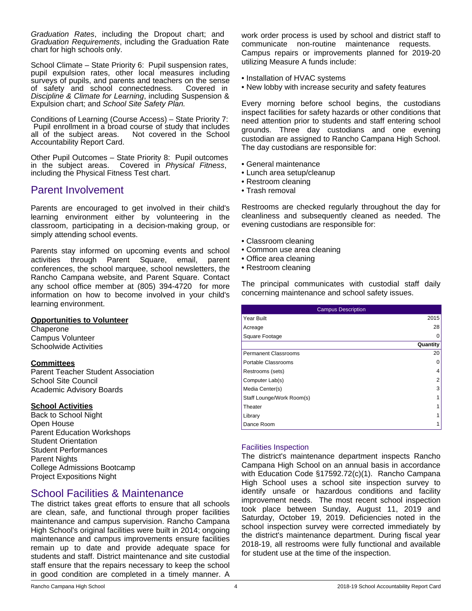*Graduation Rates*, including the Dropout chart; and *Graduation Requirements*, including the Graduation Rate chart for high schools only.

School Climate – State Priority 6: Pupil suspension rates, pupil expulsion rates, other local measures including surveys of pupils, and parents and teachers on the sense of safety and school connectedness. Covered in *Discipline & Climate for Learning*, including Suspension & Expulsion chart; and *School Site Safety Plan.*

Conditions of Learning (Course Access) – State Priority 7: Pupil enrollment in a broad course of study that includes all of the subject areas. Not covered in the School Not covered in the School Accountability Report Card.

Other Pupil Outcomes – State Priority 8: Pupil outcomes in the subject areas. Covered in *Physical Fitness*, including the Physical Fitness Test chart.

## Parent Involvement

Parents are encouraged to get involved in their child's learning environment either by volunteering in the classroom, participating in a decision-making group, or simply attending school events.

Parents stay informed on upcoming events and school activities through Parent Square, email, parent conferences, the school marquee, school newsletters, the Rancho Campana website, and Parent Square. Contact any school office member at (805) 394-4720 for more information on how to become involved in your child's learning environment.

### **Opportunities to Volunteer**

Chaperone Campus Volunteer Schoolwide Activities

### **Committees**

Parent Teacher Student Association School Site Council Academic Advisory Boards

### **School Activities**

Back to School Night Open House Parent Education Workshops Student Orientation Student Performances Parent Nights College Admissions Bootcamp Project Expositions Night

## School Facilities & Maintenance

The district takes great efforts to ensure that all schools are clean, safe, and functional through proper facilities maintenance and campus supervision. Rancho Campana High School's original facilities were built in 2014; ongoing maintenance and campus improvements ensure facilities remain up to date and provide adequate space for students and staff. District maintenance and site custodial staff ensure that the repairs necessary to keep the school in good condition are completed in a timely manner. A work order process is used by school and district staff to communicate non-routine maintenance requests. Campus repairs or improvements planned for 2019-20 utilizing Measure A funds include:

- Installation of HVAC systems
- New lobby with increase security and safety features

Every morning before school begins, the custodians inspect facilities for safety hazards or other conditions that need attention prior to students and staff entering school grounds. Three day custodians and one evening custodian are assigned to Rancho Campana High School. The day custodians are responsible for:

- General maintenance
- Lunch area setup/cleanup
- Restroom cleaning
- Trash removal

Restrooms are checked regularly throughout the day for cleanliness and subsequently cleaned as needed. The evening custodians are responsible for:

- Classroom cleaning
- Common use area cleaning
- Office area cleaning
- Restroom cleaning

The principal communicates with custodial staff daily concerning maintenance and school safety issues.

| <b>Campus Description</b> |                |  |  |  |  |
|---------------------------|----------------|--|--|--|--|
| Year Built                | 2015           |  |  |  |  |
| Acreage                   | 28             |  |  |  |  |
| Square Footage            |                |  |  |  |  |
|                           | Quantity       |  |  |  |  |
| Permanent Classrooms      | 20             |  |  |  |  |
| Portable Classrooms       | 0              |  |  |  |  |
| Restrooms (sets)          | 4              |  |  |  |  |
| Computer Lab(s)           | $\overline{2}$ |  |  |  |  |
| Media Center(s)           | 3              |  |  |  |  |
| Staff Lounge/Work Room(s) |                |  |  |  |  |
| Theater                   |                |  |  |  |  |
| Library                   |                |  |  |  |  |
| Dance Room                |                |  |  |  |  |

### Facilities Inspection

The district's maintenance department inspects Rancho Campana High School on an annual basis in accordance with Education Code §17592.72(c)(1). Rancho Campana High School uses a school site inspection survey to identify unsafe or hazardous conditions and facility improvement needs. The most recent school inspection took place between Sunday, August 11, 2019 and Saturday, October 19, 2019. Deficiencies noted in the school inspection survey were corrected immediately by the district's maintenance department. During fiscal year 2018-19, all restrooms were fully functional and available for student use at the time of the inspection.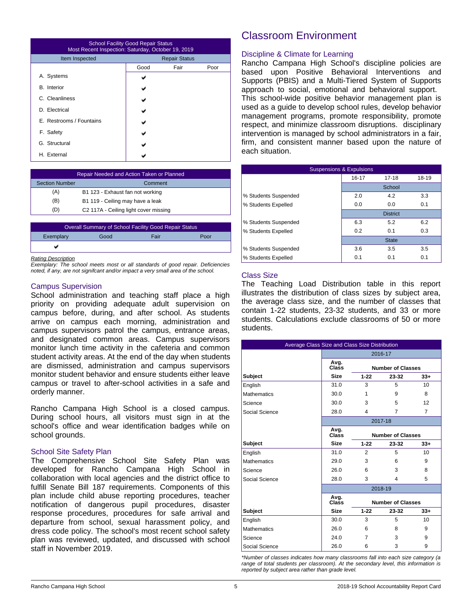| <b>School Facility Good Repair Status</b><br>Most Recent Inspection: Saturday, October 19, 2019 |                      |      |      |  |  |
|-------------------------------------------------------------------------------------------------|----------------------|------|------|--|--|
| Item Inspected                                                                                  | <b>Repair Status</b> |      |      |  |  |
|                                                                                                 | Good                 | Fair | Poor |  |  |
| A. Systems                                                                                      |                      |      |      |  |  |
| <b>B.</b> Interior                                                                              |                      |      |      |  |  |
| C. Cleanliness                                                                                  |                      |      |      |  |  |
| D. Electrical                                                                                   |                      |      |      |  |  |
| E. Restrooms / Fountains                                                                        |                      |      |      |  |  |
| F. Safety                                                                                       |                      |      |      |  |  |
| G. Structural                                                                                   |                      |      |      |  |  |
| H. External                                                                                     |                      |      |      |  |  |

| <b>Repair Needed and Action Taken or Planned</b> |                                  |  |  |
|--------------------------------------------------|----------------------------------|--|--|
| <b>Section Number</b><br>Comment                 |                                  |  |  |
| (A)<br>B1 123 - Exhaust fan not working          |                                  |  |  |
| (B)                                              | B1 119 - Ceiling may have a leak |  |  |
| C2 117A - Ceiling light cover missing<br>(D)     |                                  |  |  |
|                                                  |                                  |  |  |

| <b>Overall Summary of School Facility Good Repair Status</b> |      |      |      |  |
|--------------------------------------------------------------|------|------|------|--|
| Exemplary                                                    | Good | Fair | Poor |  |
|                                                              |      |      |      |  |
|                                                              |      |      |      |  |

#### *Rating Description*

*Exemplary: The school meets most or all standards of good repair. Deficiencies noted, if any, are not signifcant and/or impact a very small area of the school.*

### Campus Supervision

School administration and teaching staff place a high priority on providing adequate adult supervision on campus before, during, and after school. As students arrive on campus each morning, administration and campus supervisors patrol the campus, entrance areas, and designated common areas. Campus supervisors monitor lunch time activity in the cafeteria and common student activity areas. At the end of the day when students are dismissed, administration and campus supervisors monitor student behavior and ensure students either leave campus or travel to after-school activities in a safe and orderly manner.

Rancho Campana High School is a closed campus. During school hours, all visitors must sign in at the school's office and wear identification badges while on school grounds.

### School Site Safety Plan

The Comprehensive School Site Safety Plan was developed for Rancho Campana High School in collaboration with local agencies and the district office to fulfill Senate Bill 187 requirements. Components of this plan include child abuse reporting procedures, teacher notification of dangerous pupil procedures, disaster response procedures, procedures for safe arrival and departure from school, sexual harassment policy, and dress code policy. The school's most recent school safety plan was reviewed, updated, and discussed with school staff in November 2019.

## Classroom Environment

### Discipline & Climate for Learning

Rancho Campana High School's discipline policies are based upon Positive Behavioral Interventions and Supports (PBIS) and a Multi-Tiered System of Supports approach to social, emotional and behavioral support. This school-wide positive behavior management plan is used as a guide to develop school rules, develop behavior management programs, promote responsibility, promote respect, and minimize classroom disruptions. disciplinary intervention is managed by school administrators in a fair, firm, and consistent manner based upon the nature of each situation.

| <b>Suspensions &amp; Expulsions</b> |           |                 |       |  |  |  |
|-------------------------------------|-----------|-----------------|-------|--|--|--|
|                                     | $16 - 17$ | $17 - 18$       | 18-19 |  |  |  |
|                                     |           | School          |       |  |  |  |
| % Students Suspended                | 2.0       | 4.2             | 3.3   |  |  |  |
| % Students Expelled                 | 0.0       | 0.0             | 0.1   |  |  |  |
|                                     |           | <b>District</b> |       |  |  |  |
| % Students Suspended                | 6.3       | 5.2             | 6.2   |  |  |  |
| % Students Expelled                 | 0.2       | 0.1             | 0.3   |  |  |  |
|                                     |           | <b>State</b>    |       |  |  |  |
| % Students Suspended                | 3.6       | 3.5             | 3.5   |  |  |  |
| % Students Expelled                 | 0.1       | 0.1             | 0.1   |  |  |  |

### Class Size

The Teaching Load Distribution table in this report illustrates the distribution of class sizes by subject area, the average class size, and the number of classes that contain 1-22 students, 23-32 students, and 33 or more students. Calculations exclude classrooms of 50 or more students.

| Average Class Size and Class Size Distribution |               |                          |                          |                   |  |
|------------------------------------------------|---------------|--------------------------|--------------------------|-------------------|--|
|                                                |               |                          | 2016-17                  |                   |  |
|                                                | Avg.<br>Class |                          | <b>Number of Classes</b> |                   |  |
| <b>Subject</b>                                 | <b>Size</b>   | $1 - 22$                 | 23-32                    | $33+$             |  |
| English                                        | 31.0          | 3                        | 5                        | 10                |  |
| <b>Mathematics</b>                             | 30.0          | 1                        | 9                        | 8                 |  |
| Science                                        | 30.0          | 3                        | 5                        | $12 \overline{ }$ |  |
| Social Science                                 | 28.0          | 4                        | 7                        | 7                 |  |
|                                                |               | 2017-18                  |                          |                   |  |
|                                                | Avg.<br>Class | <b>Number of Classes</b> |                          |                   |  |
| Subject                                        | <b>Size</b>   | $1 - 22$                 | 23-32                    | $33+$             |  |
| English                                        | 31.0          | $\mathcal{P}$            | 5                        | 10                |  |
| <b>Mathematics</b>                             | 29.0          | 3                        | 6                        | 9                 |  |
| Science                                        | 26.0          | 6                        | 3                        | 8                 |  |
| Social Science                                 | 28.0          | 3                        | 4                        | 5                 |  |
|                                                |               |                          | 2018-19                  |                   |  |
|                                                | Avg.<br>Class |                          | <b>Number of Classes</b> |                   |  |
| <b>Subject</b>                                 | <b>Size</b>   | $1 - 22$                 | 23-32                    | $33+$             |  |
| English                                        | 30.0          | 3                        | 5                        | 10 <sup>1</sup>   |  |
| <b>Mathematics</b>                             | 26.0          | 6                        | 8                        | 9                 |  |
| Science                                        | 24.0          | 7                        | 3                        | 9                 |  |
| Social Science                                 | 26.0          | 6                        | 3                        | 9                 |  |

*\*Number of classes indicates how many classrooms fall into each size category (a range of total students per classroom). At the secondary level, this information is reported by subject area rather than grade level.*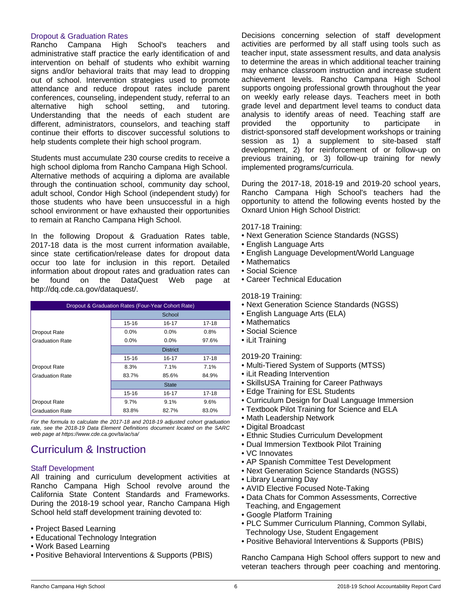### Dropout & Graduation Rates

Rancho Campana High School's teachers and administrative staff practice the early identification of and intervention on behalf of students who exhibit warning signs and/or behavioral traits that may lead to dropping out of school. Intervention strategies used to promote attendance and reduce dropout rates include parent conferences, counseling, independent study, referral to an alternative high school setting, and tutoring. Understanding that the needs of each student are different, administrators, counselors, and teaching staff continue their efforts to discover successful solutions to help students complete their high school program.

Students must accumulate 230 course credits to receive a high school diploma from Rancho Campana High School. Alternative methods of acquiring a diploma are available through the continuation school, community day school, adult school, Condor High School (independent study) for those students who have been unsuccessful in a high school environment or have exhausted their opportunities to remain at Rancho Campana High School.

In the following Dropout & Graduation Rates table, 2017-18 data is the most current information available, since state certification/release dates for dropout data occur too late for inclusion in this report. Detailed information about dropout rates and graduation rates can be found on the DataQuest Web page at http://dq.cde.ca.gov/dataquest/.

| Dropout & Graduation Rates (Four-Year Cohort Rate) |                         |         |       |  |  |
|----------------------------------------------------|-------------------------|---------|-------|--|--|
|                                                    | School                  |         |       |  |  |
|                                                    | 15-16                   | 16-17   | 17-18 |  |  |
| Dropout Rate                                       | $0.0\%$                 | $0.0\%$ | 0.8%  |  |  |
| <b>Graduation Rate</b>                             | 0.0%                    | $0.0\%$ | 97.6% |  |  |
|                                                    | <b>District</b>         |         |       |  |  |
|                                                    | 15-16                   | 16-17   | 17-18 |  |  |
| Dropout Rate                                       | 8.3%                    | 7.1%    | 7.1%  |  |  |
| <b>Graduation Rate</b>                             | 83.7%<br>85.6%          |         | 84.9% |  |  |
|                                                    | <b>State</b>            |         |       |  |  |
|                                                    | $15 - 16$               | 16-17   | 17-18 |  |  |
| <b>Dropout Rate</b>                                | 9.7%                    | 9.1%    | 9.6%  |  |  |
| <b>Graduation Rate</b>                             | 83.8%<br>82.7%<br>83.0% |         |       |  |  |

*For the formula to calculate the 2017-18 and 2018-19 adjusted cohort graduation rate, see the 2018-19 Data Element Definitions document located on the SARC web page at https://www.cde.ca.gov/ta/ac/sa/*

# Curriculum & Instruction

### Staff Development

All training and curriculum development activities at Rancho Campana High School revolve around the California State Content Standards and Frameworks. During the 2018-19 school year, Rancho Campana High School held staff development training devoted to:

- Project Based Learning
- Educational Technology Integration
- Work Based Learning
- Positive Behavioral Interventions & Supports (PBIS)

Decisions concerning selection of staff development activities are performed by all staff using tools such as teacher input, state assessment results, and data analysis to determine the areas in which additional teacher training may enhance classroom instruction and increase student achievement levels. Rancho Campana High School supports ongoing professional growth throughout the year on weekly early release days. Teachers meet in both grade level and department level teams to conduct data analysis to identify areas of need. Teaching staff are provided the opportunity to participate in district-sponsored staff development workshops or training session as 1) a supplement to site-based staff development, 2) for reinforcement of or follow-up on previous training, or 3) follow-up training for newly implemented programs/curricula.

During the 2017-18, 2018-19 and 2019-20 school years, Rancho Campana High School's teachers had the opportunity to attend the following events hosted by the Oxnard Union High School District:

2017-18 Training:

- Next Generation Science Standards (NGSS)
- English Language Arts
- English Language Development/World Language
- Mathematics
- Social Science
- Career Technical Education

2018-19 Training:

- Next Generation Science Standards (NGSS)
- English Language Arts (ELA)
- Mathematics
- Social Science
- iLit Training

2019-20 Training:

- Multi-Tiered System of Supports (MTSS)
- iLit Reading Intervention
- SkillsUSA Training for Career Pathways
- Edge Training for ESL Students
- Curriculum Design for Dual Language Immersion
- Textbook Pilot Training for Science and ELA
- Math Leadership Network
- Digital Broadcast
- Ethnic Studies Curriculum Development
- Dual Immersion Textbook Pilot Training
- VC Innovates
- AP Spanish Committee Test Development
- Next Generation Science Standards (NGSS)
- Library Learning Day
- AVID Elective Focused Note-Taking
- Data Chats for Common Assessments, Corrective Teaching, and Engagement
- Google Platform Training
- PLC Summer Curriculum Planning, Common Syllabi, Technology Use, Student Engagement
- Positive Behavioral Interventions & Supports (PBIS)

Rancho Campana High School offers support to new and veteran teachers through peer coaching and mentoring.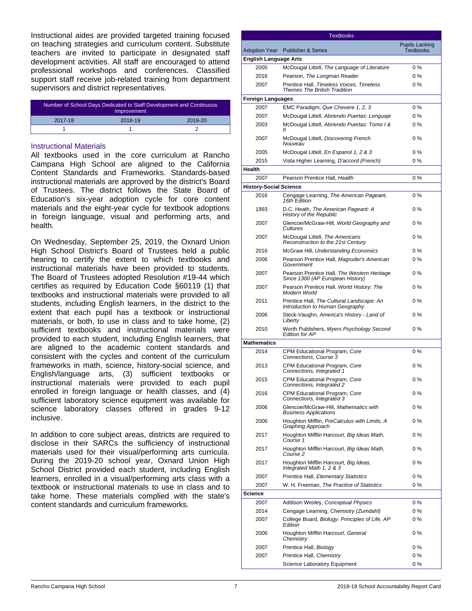Instructional aides are provided targeted training focused on teaching strategies and curriculum content. Substitute teachers are invited to participate in designated staff development activities. All staff are encouraged to attend professional workshops and conferences. Classified support staff receive job-related training from department supervisors and district representatives.

| Number of School Days Dedicated to Staff Development and Continuous<br>Improvement |         |         |  |
|------------------------------------------------------------------------------------|---------|---------|--|
| 2017-18                                                                            | 2018-19 | 2019-20 |  |
|                                                                                    |         |         |  |

### Instructional Materials

All textbooks used in the core curriculum at Rancho Campana High School are aligned to the California Content Standards and Frameworks. Standards-based instructional materials are approved by the district's Board of Trustees. The district follows the State Board of Education's six-year adoption cycle for core content materials and the eight-year cycle for textbook adoptions in foreign language, visual and performing arts, and health.

On Wednesday, September 25, 2019, the Oxnard Union High School District's Board of Trustees held a public hearing to certify the extent to which textbooks and instructional materials have been provided to students. The Board of Trustees adopted Resolution #19-44 which certifies as required by Education Code §60119 (1) that textbooks and instructional materials were provided to all students, including English learners, in the district to the extent that each pupil has a textbook or instructional materials, or both, to use in class and to take home, (2) sufficient textbooks and instructional materials were provided to each student, including English learners, that are aligned to the academic content standards and consistent with the cycles and content of the curriculum frameworks in math, science, history-social science, and English/language arts, (3) sufficient textbooks or instructional materials were provided to each pupil enrolled in foreign language or health classes, and (4) sufficient laboratory science equipment was available for science laboratory classes offered in grades 9-12 inclusive.

In addition to core subject areas, districts are required to disclose in their SARCs the sufficiency of instructional materials used for their visual/performing arts curricula. During the 2019-20 school year, Oxnard Union High School District provided each student, including English learners, enrolled in a visual/performing arts class with a textbook or instructional materials to use in class and to take home. These materials complied with the state's content standards and curriculum frameworks.

|                               | <b>Textbooks</b>                                                                |                                           |
|-------------------------------|---------------------------------------------------------------------------------|-------------------------------------------|
| <b>Adoption Year</b>          | <b>Publisher &amp; Series</b>                                                   | <b>Pupils Lacking</b><br><b>Textbooks</b> |
| <b>English Language Arts</b>  |                                                                                 |                                           |
| 2005                          | McDougal Littell, The Language of Literature                                    | $0\%$                                     |
| 2016                          | Pearson, The Longman Reader                                                     | $0\%$                                     |
| 2007                          | Prentice Hall, Timeless Voices, Timeless<br><b>Themes The British Tradition</b> | $0\%$                                     |
| <b>Foreign Languages</b>      |                                                                                 |                                           |
| 2007                          | EMC Paradigm, Que Chevere 1, 2, 3                                               | $0\%$                                     |
| 2007                          | McDougal Littell, Abriendo Puertas: Lenguaje                                    | 0%                                        |
| 2003                          | McDougal Littell, Abriendo Puertas: Tomo I &<br>$_{II}$                         | 0%                                        |
| 2007                          | McDougal Littell, Discovering French<br>Nouveau                                 | $0\%$                                     |
| 2005                          | McDougal Littell, En Espanol 1, 2 & 3                                           | $0\%$                                     |
| 2015                          | Vista Higher Learning, D'accord (French)                                        | $0\%$                                     |
| Health                        |                                                                                 |                                           |
| 2007                          | Pearson Prentice Hall, Health                                                   | $0\%$                                     |
| <b>History-Social Science</b> |                                                                                 |                                           |
| 2016                          | Cengage Learning, The American Pageant,<br>16th Edition                         | $0\%$                                     |
| 1993                          | D.C. Heath, The American Pageant: A<br>History of the Republic                  | $0\%$                                     |
| 2007                          | Glencoe/McGraw-Hill, World Geography and<br>Cultures                            | $0\%$                                     |
| 2007                          | McDougal Littell, The Americans<br>Reconstruction to the 21st Century           | $0\%$                                     |
| 2016                          | McGraw Hill, Understanding Economics                                            | $0\%$                                     |
| 2006                          | Pearson Prentice Hall, Magruder's American<br>Government                        | 0%                                        |
| 2007                          | Pearson Prentice Hall, The Western Heritage<br>Since 1300 (AP European History) | $0\%$                                     |
| 2007                          | Pearson Prentice Hall, World History: The<br>Modern World                       | 0%                                        |
| 2011                          | Prentice Hall, The Cultural Landscape: An<br>Introduction to Human Geography    | 0%                                        |
| 2006                          | Steck-Vaughn, America's History - Land of<br>Liberty                            | 0%                                        |
| 2010                          | Worth Publishers, Myers Psychology Second<br><b>Edition for AP</b>              | 0%                                        |
| <b>Mathematics</b>            |                                                                                 |                                           |
| 2014                          | CPM Educational Program, Core<br>Connections. Course 3                          | $0\%$                                     |
| 2013                          | CPM Educational Program, Core<br>Connections, Integrated 1                      | 0 %                                       |
| 2015                          | CPM Educational Program, Core<br>Connections, Integrated 2                      | 0%                                        |
| 2016                          | CPM Educational Program, Core<br>Connections, Integrated 3                      | 0 %                                       |
| 2006                          | Glencoe/McGraw-Hill, Mathematics with<br><b>Business Applications</b>           | 0%                                        |
| 2006                          | Houghton Mifflin, PreCalculus with Limits, A<br>Graphing Approach               | 0%                                        |
| 2017                          | Houghton Mifflin Harcourt, Big Ideas Math,<br>Course 1                          | $0\%$                                     |
| 2017                          | Houghton Mifflin Harcourt, Big Ideas Math,<br>Course 2                          | $0\%$                                     |
| 2017                          | Houghton Mifflin Harcourt, Big Ideas,<br>Integrated Math 1, 2 & 3               | $0\%$                                     |
| 2007                          | Prentice Hall, Elementary Statistics                                            | 0 %                                       |
| 2007                          | W. H. Freeman, The Practice of Statistics                                       | $0\%$                                     |
| Science                       |                                                                                 |                                           |
| 2007                          | Addison Wesley, Conceptual Physics                                              | $0\%$                                     |
| 2014                          | Cengage Learning, Chemistry (Zumdahl)                                           | $0\%$                                     |
| 2007                          | College Board, Biology: Principles of Life, AP<br>Edition                       | 0 %                                       |
| 2006                          | Houghton Mifflin Harcourt, General<br>Chemistry                                 | $0\%$                                     |
| 2007                          | Prentice Hall, Biology                                                          | $0\%$                                     |
| 2007                          | Prentice Hall, Chemistry                                                        | 0%                                        |
|                               | Science Laboratory Equipment                                                    | 0%                                        |
|                               |                                                                                 |                                           |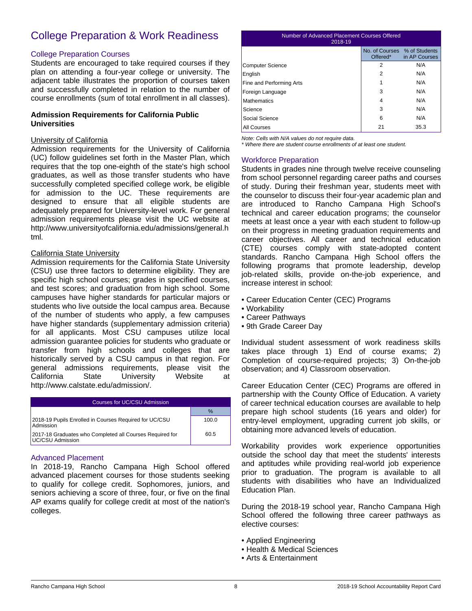# College Preparation & Work Readiness

### College Preparation Courses

Students are encouraged to take required courses if they plan on attending a four-year college or university. The adjacent table illustrates the proportion of courses taken and successfully completed in relation to the number of course enrollments (sum of total enrollment in all classes).

### **Admission Requirements for California Public Universities**

### University of California

Admission requirements for the University of California (UC) follow guidelines set forth in the Master Plan, which requires that the top one-eighth of the state's high school graduates, as well as those transfer students who have successfully completed specified college work, be eligible for admission to the UC. These requirements are designed to ensure that all eligible students are adequately prepared for University-level work. For general admission requirements please visit the UC website at http://www.universityofcalifornia.edu/admissions/general.h tml.

### California State University

Admission requirements for the California State University (CSU) use three factors to determine eligibility. They are specific high school courses; grades in specified courses, and test scores; and graduation from high school. Some campuses have higher standards for particular majors or students who live outside the local campus area. Because of the number of students who apply, a few campuses have higher standards (supplementary admission criteria) for all applicants. Most CSU campuses utilize local admission guarantee policies for students who graduate or transfer from high schools and colleges that are historically served by a CSU campus in that region. For general admissions requirements, please visit the California State University Website at http://www.calstate.edu/admission/.

| Courses for UC/CSU Admission                                                 |       |  |
|------------------------------------------------------------------------------|-------|--|
|                                                                              | $\%$  |  |
| 2018-19 Pupils Enrolled in Courses Required for UC/CSU<br>Admission          | 100.0 |  |
| 2017-18 Graduates who Completed all Courses Required for<br>UC/CSU Admission | 60.5  |  |

### Advanced Placement

In 2018-19, Rancho Campana High School offered advanced placement courses for those students seeking to qualify for college credit. Sophomores, juniors, and seniors achieving a score of three, four, or five on the final AP exams qualify for college credit at most of the nation's colleges.

### Number of Advanced Placement Courses Offered 2018-19 No. of Courses % of Students Offered\*

|                          | Offered*       | in AP Courses |
|--------------------------|----------------|---------------|
| <b>Computer Science</b>  | $\overline{2}$ | N/A           |
| English                  | $\overline{2}$ | N/A           |
| Fine and Performing Arts | 1              | N/A           |
| Foreign Language         | 3              | N/A           |
| <b>Mathematics</b>       | 4              | N/A           |
| Science                  | 3              | N/A           |
| Social Science           | 6              | N/A           |
| All Courses              | 21             | 35.3          |

*Note: Cells with N/A values do not require data.*

*\* Where there are student course enrollments of at least one student.*

### Workforce Preparation

Students in grades nine through twelve receive counseling from school personnel regarding career paths and courses of study. During their freshman year, students meet with the counselor to discuss their four-year academic plan and are introduced to Rancho Campana High School's technical and career education programs; the counselor meets at least once a year with each student to follow-up on their progress in meeting graduation requirements and career objectives. All career and technical education (CTE) courses comply with state-adopted content standards. Rancho Campana High School offers the following programs that promote leadership, develop job-related skills, provide on-the-job experience, and increase interest in school:

- Career Education Center (CEC) Programs
- Workability
- Career Pathways
- 9th Grade Career Day

Individual student assessment of work readiness skills takes place through 1) End of course exams; 2) Completion of course-required projects; 3) On-the-job observation; and 4) Classroom observation.

Career Education Center (CEC) Programs are offered in partnership with the County Office of Education. A variety of career technical education courses are available to help prepare high school students (16 years and older) for entry-level employment, upgrading current job skills, or obtaining more advanced levels of education.

Workability provides work experience opportunities outside the school day that meet the students' interests and aptitudes while providing real-world job experience prior to graduation. The program is available to all students with disabilities who have an Individualized Education Plan.

During the 2018-19 school year, Rancho Campana High School offered the following three career pathways as elective courses:

- Applied Engineering
- Health & Medical Sciences
- Arts & Entertainment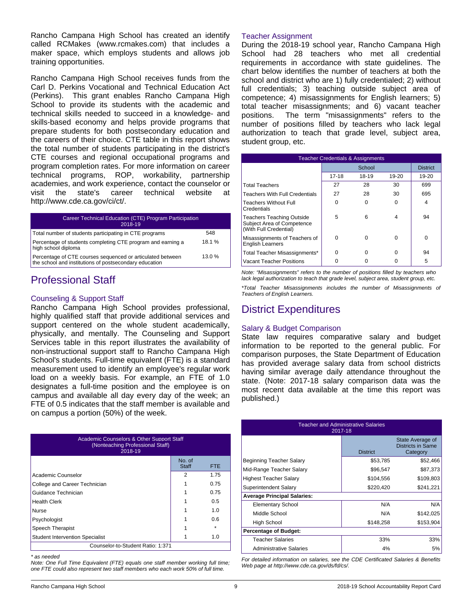Rancho Campana High School has created an identify called RCMakes (www.rcmakes.com) that includes a maker space, which employs students and allows job training opportunities.

Rancho Campana High School receives funds from the Carl D. Perkins Vocational and Technical Education Act (Perkins). This grant enables Rancho Campana High School to provide its students with the academic and technical skills needed to succeed in a knowledge- and skills-based economy and helps provide programs that prepare students for both postsecondary education and the careers of their choice. CTE table in this report shows the total number of students participating in the district's CTE courses and regional occupational programs and program completion rates. For more information on career technical programs, ROP, workability, partnership academies, and work experience, contact the counselor or visit the state's career technical website at http://www.cde.ca.gov/ci/ct/.

| Career Technical Education (CTE) Program Participation<br>2018-19                                                    |       |
|----------------------------------------------------------------------------------------------------------------------|-------|
| Total number of students participating in CTE programs                                                               | 548   |
| Percentage of students completing CTE program and earning a<br>high school diploma                                   | 18.1% |
| Percentage of CTE courses sequenced or articulated between<br>the school and institutions of postsecondary education | 13.0% |

## Professional Staff

### Counseling & Support Staff

Rancho Campana High School provides professional, highly qualified staff that provide additional services and support centered on the whole student academically, physically, and mentally. The Counseling and Support Services table in this report illustrates the availability of non-instructional support staff to Rancho Campana High School's students. Full-time equivalent (FTE) is a standard measurement used to identify an employee's regular work load on a weekly basis. For example, an FTE of 1.0 designates a full-time position and the employee is on campus and available all day every day of the week; an FTE of 0.5 indicates that the staff member is available and on campus a portion (50%) of the week.

| Academic Counselors & Other Support Staff<br>(Nonteaching Professional Staff)<br>2018-19 |                        |         |  |
|------------------------------------------------------------------------------------------|------------------------|---------|--|
|                                                                                          | No. of<br><b>Staff</b> | FTE.    |  |
| Academic Counselor                                                                       | 2                      | 1.75    |  |
| College and Career Technician                                                            |                        | 0.75    |  |
| Guidance Technician                                                                      |                        | 0.75    |  |
| <b>Health Clerk</b>                                                                      |                        | 0.5     |  |
| Nurse                                                                                    |                        | 1.0     |  |
| Psychologist                                                                             |                        | 0.6     |  |
| Speech Therapist                                                                         |                        | $\star$ |  |
| <b>Student Intervention Specialist</b>                                                   |                        | 1.0     |  |
| Counselor-to-Student Ratio: 1:371                                                        |                        |         |  |

*\* as needed*

*Note: One Full Time Equivalent (FTE) equals one staff member working full time; one FTE could also represent two staff members who each work 50% of full time.*

### Teacher Assignment

During the 2018-19 school year, Rancho Campana High School had 28 teachers who met all credential requirements in accordance with state guidelines. The chart below identifies the number of teachers at both the school and district who are 1) fully credentialed; 2) without full credentials; 3) teaching outside subject area of competence; 4) misassignments for English learners; 5) total teacher misassignments; and 6) vacant teacher positions. The term "misassignments" refers to the number of positions filled by teachers who lack legal authorization to teach that grade level, subject area, student group, etc.

| <b>Teacher Credentials &amp; Assignments</b>                                             |        |       |       |                 |
|------------------------------------------------------------------------------------------|--------|-------|-------|-----------------|
|                                                                                          | School |       |       | <b>District</b> |
|                                                                                          | 17-18  | 18-19 | 19-20 | 19-20           |
| <b>Total Teachers</b>                                                                    | 27     | 28    | 30    | 699             |
| <b>Teachers With Full Credentials</b>                                                    | 27     | 28    | 30    | 695             |
| <b>Teachers Without Full</b><br>Credentials                                              | U      | O     | U     | 4               |
| <b>Teachers Teaching Outside</b><br>Subject Area of Competence<br>(With Full Credential) | 5      | 6     | 4     | 94              |
| Misassignments of Teachers of<br><b>English Learners</b>                                 | ŋ      | O     | O     | O               |
| Total Teacher Misassignments*                                                            | ŋ      | U     | U     | 94              |
| Vacant Teacher Positions                                                                 |        |       |       | 5               |

*Note: "Misassignments" refers to the number of positions filled by teachers who lack legal authorization to teach that grade level, subject area, student group, etc.*

*\*Total Teacher Misassignments includes the number of Misassignments of Teachers of English Learners.*

# District Expenditures

### Salary & Budget Comparison

State law requires comparative salary and budget information to be reported to the general public. For comparison purposes, the State Department of Education has provided average salary data from school districts having similar average daily attendance throughout the state. (Note: 2017-18 salary comparison data was the most recent data available at the time this report was published.)

| <b>Teacher and Administrative Salaries</b><br>2017-18 |                 |                                                   |  |  |
|-------------------------------------------------------|-----------------|---------------------------------------------------|--|--|
|                                                       | <b>District</b> | State Average of<br>Districts in Same<br>Category |  |  |
| Beginning Teacher Salary                              | \$53,785        | \$52,466                                          |  |  |
| Mid-Range Teacher Salary                              | \$96,547        | \$87,373                                          |  |  |
| <b>Highest Teacher Salary</b>                         | \$104,556       | \$109,803                                         |  |  |
| Superintendent Salary                                 | \$220,420       | \$241,221                                         |  |  |
| <b>Average Principal Salaries:</b>                    |                 |                                                   |  |  |
| <b>Elementary School</b>                              | N/A             | N/A                                               |  |  |
| Middle School                                         | N/A             | \$142,025                                         |  |  |
| High School                                           | \$148,258       | \$153,904                                         |  |  |
| <b>Percentage of Budget:</b>                          |                 |                                                   |  |  |
| <b>Teacher Salaries</b>                               | 33%             | 33%                                               |  |  |
| <b>Administrative Salaries</b>                        | 4%              | 5%                                                |  |  |

*For detailed information on salaries, see the CDE Certificated Salaries & Benefits Web page at http://www.cde.ca.gov/ds/fd/cs/.*